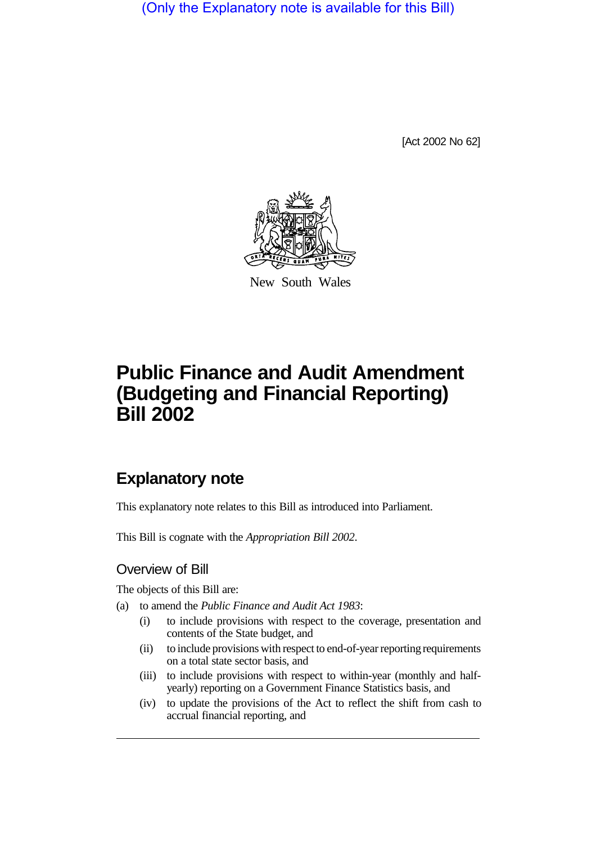(Only the Explanatory note is available for this Bill)

[Act 2002 No 62]



New South Wales

# **Public Finance and Audit Amendment (Budgeting and Financial Reporting) Bill 2002**

## **Explanatory note**

This explanatory note relates to this Bill as introduced into Parliament.

This Bill is cognate with the *Appropriation Bill 2002*.

#### Overview of Bill

The objects of this Bill are:

- (a) to amend the *Public Finance and Audit Act 1983*:
	- (i) to include provisions with respect to the coverage, presentation and contents of the State budget, and
	- (ii) to include provisions with respect to end-of-year reporting requirements on a total state sector basis, and
	- (iii) to include provisions with respect to within-year (monthly and halfyearly) reporting on a Government Finance Statistics basis, and
	- (iv) to update the provisions of the Act to reflect the shift from cash to accrual financial reporting, and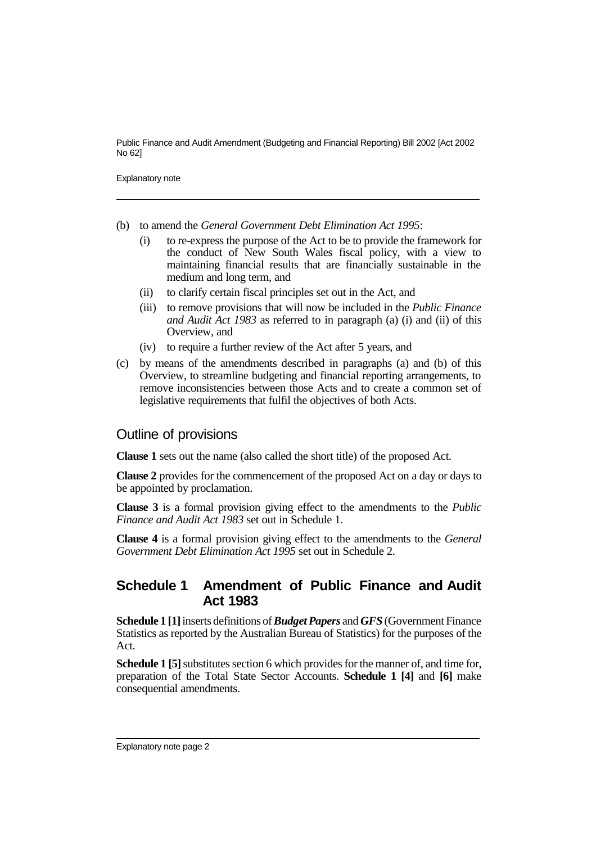Public Finance and Audit Amendment (Budgeting and Financial Reporting) Bill 2002 [Act 2002 No 62]

Explanatory note

- (b) to amend the *General Government Debt Elimination Act 1995*:
	- (i) to re-express the purpose of the Act to be to provide the framework for the conduct of New South Wales fiscal policy, with a view to maintaining financial results that are financially sustainable in the medium and long term, and
	- (ii) to clarify certain fiscal principles set out in the Act, and
	- (iii) to remove provisions that will now be included in the *Public Finance and Audit Act 1983* as referred to in paragraph (a) (i) and (ii) of this Overview, and
	- (iv) to require a further review of the Act after 5 years, and
- (c) by means of the amendments described in paragraphs (a) and (b) of this Overview, to streamline budgeting and financial reporting arrangements, to remove inconsistencies between those Acts and to create a common set of legislative requirements that fulfil the objectives of both Acts.

#### Outline of provisions

**Clause 1** sets out the name (also called the short title) of the proposed Act.

**Clause 2** provides for the commencement of the proposed Act on a day or days to be appointed by proclamation.

**Clause 3** is a formal provision giving effect to the amendments to the *Public Finance and Audit Act 1983* set out in Schedule 1.

**Clause 4** is a formal provision giving effect to the amendments to the *General Government Debt Elimination Act 1995* set out in Schedule 2.

### **Schedule 1 Amendment of Public Finance and Audit Act 1983**

**Schedule 1 [1]**inserts definitions of*Budget Papers* and *GFS* (Government Finance Statistics as reported by the Australian Bureau of Statistics) for the purposes of the Act.

**Schedule 1 [5]** substitutes section 6 which provides for the manner of, and time for, preparation of the Total State Sector Accounts. **Schedule 1 [4]** and **[6]** make consequential amendments.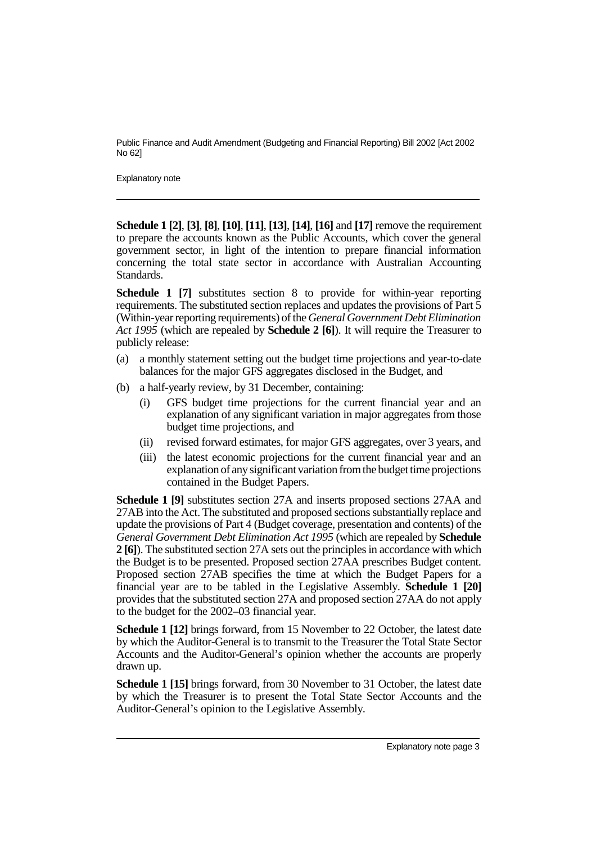Public Finance and Audit Amendment (Budgeting and Financial Reporting) Bill 2002 [Act 2002 No 62]

Explanatory note

**Schedule 1 [2]**, **[3]**, **[8]**, **[10]**, **[11]**, **[13]**, **[14]**, **[16]** and **[17]** remove the requirement to prepare the accounts known as the Public Accounts, which cover the general government sector, in light of the intention to prepare financial information concerning the total state sector in accordance with Australian Accounting Standards.

**Schedule 1 [7]** substitutes section 8 to provide for within-year reporting requirements. The substituted section replaces and updates the provisions of Part 5 (Within-year reporting requirements) of the *General Government Debt Elimination Act 1995* (which are repealed by **Schedule 2 [6]**). It will require the Treasurer to publicly release:

- (a) a monthly statement setting out the budget time projections and year-to-date balances for the major GFS aggregates disclosed in the Budget, and
- (b) a half-yearly review, by 31 December, containing:
	- (i) GFS budget time projections for the current financial year and an explanation of any significant variation in major aggregates from those budget time projections, and
	- (ii) revised forward estimates, for major GFS aggregates, over 3 years, and
	- (iii) the latest economic projections for the current financial year and an explanation of anysignificant variation from the budget time projections contained in the Budget Papers.

**Schedule 1 [9]** substitutes section 27A and inserts proposed sections 27AA and 27AB into the Act. The substituted and proposed sections substantially replace and update the provisions of Part 4 (Budget coverage, presentation and contents) of the *General Government Debt Elimination Act 1995* (which are repealed by **Schedule 2 [6]**). The substituted section 27A sets out the principles in accordance with which the Budget is to be presented. Proposed section 27AA prescribes Budget content. Proposed section 27AB specifies the time at which the Budget Papers for a financial year are to be tabled in the Legislative Assembly. **Schedule 1 [20]** provides that the substituted section 27A and proposed section 27AA do not apply to the budget for the 2002–03 financial year.

**Schedule 1 [12]** brings forward, from 15 November to 22 October, the latest date by which the Auditor-General is to transmit to the Treasurer the Total State Sector Accounts and the Auditor-General's opinion whether the accounts are properly drawn up.

**Schedule 1 [15]** brings forward, from 30 November to 31 October, the latest date by which the Treasurer is to present the Total State Sector Accounts and the Auditor-General's opinion to the Legislative Assembly.